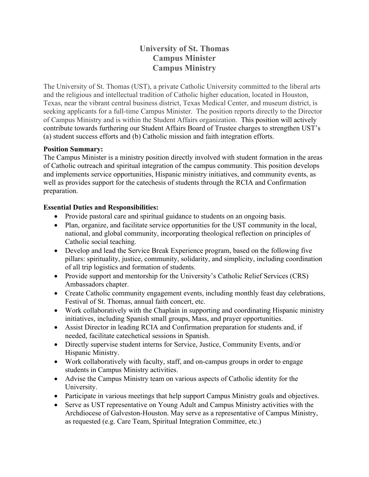# **University of St. Thomas Campus Minister Campus Ministry**

The University of St. Thomas (UST), a private Catholic University committed to the liberal arts and the religious and intellectual tradition of Catholic higher education, located in Houston, Texas, near the vibrant central business district, Texas Medical Center, and museum district, is seeking applicants for a full-time Campus Minister. The position reports directly to the Director of Campus Ministry and is within the Student Affairs organization. This position will actively contribute towards furthering our Student Affairs Board of Trustee charges to strengthen UST's (a) student success efforts and (b) Catholic mission and faith integration efforts.

### **Position Summary:**

The Campus Minister is a ministry position directly involved with student formation in the areas of Catholic outreach and spiritual integration of the campus community. This position develops and implements service opportunities, Hispanic ministry initiatives, and community events, as well as provides support for the catechesis of students through the RCIA and Confirmation preparation.

### **Essential Duties and Responsibilities:**

- Provide pastoral care and spiritual guidance to students on an ongoing basis.
- Plan, organize, and facilitate service opportunities for the UST community in the local, national, and global community, incorporating theological reflection on principles of Catholic social teaching.
- Develop and lead the Service Break Experience program, based on the following five pillars: spirituality, justice, community, solidarity, and simplicity, including coordination of all trip logistics and formation of students.
- Provide support and mentorship for the University's Catholic Relief Services (CRS) Ambassadors chapter.
- Create Catholic community engagement events, including monthly feast day celebrations, Festival of St. Thomas, annual faith concert, etc.
- Work collaboratively with the Chaplain in supporting and coordinating Hispanic ministry initiatives, including Spanish small groups, Mass, and prayer opportunities.
- Assist Director in leading RCIA and Confirmation preparation for students and, if needed, facilitate catechetical sessions in Spanish.
- Directly supervise student interns for Service, Justice, Community Events, and/or Hispanic Ministry.
- Work collaboratively with faculty, staff, and on-campus groups in order to engage students in Campus Ministry activities.
- Advise the Campus Ministry team on various aspects of Catholic identity for the University.
- Participate in various meetings that help support Campus Ministry goals and objectives.
- Serve as UST representative on Young Adult and Campus Ministry activities with the Archdiocese of Galveston-Houston. May serve as a representative of Campus Ministry, as requested (e.g. Care Team, Spiritual Integration Committee, etc.)